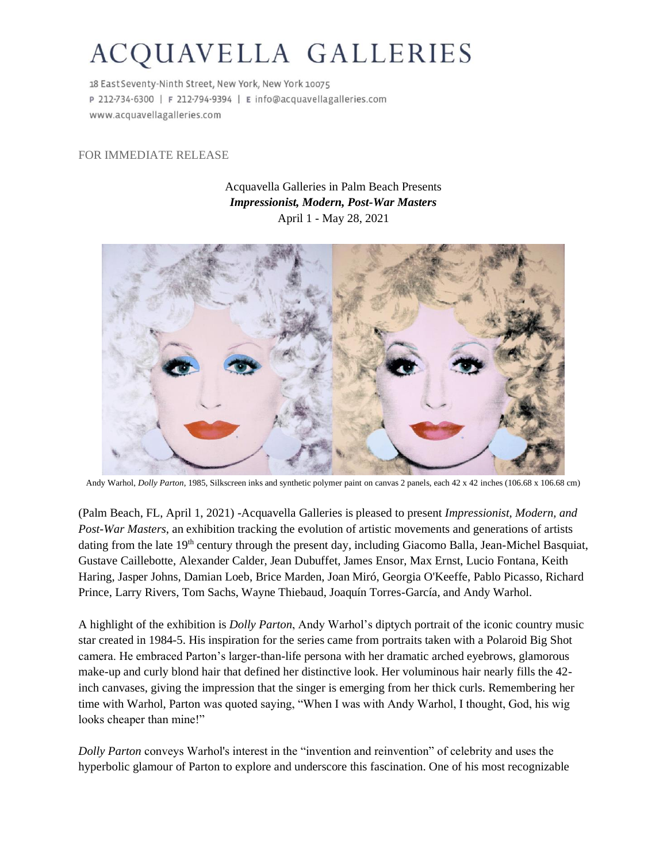## ACQUAVELLA GALLERIES

18 East Seventy-Ninth Street, New York, New York 10075 P 212-734-6300 | F 212-794-9394 | E info@acquavellagalleries.com www.acquavellagalleries.com

## FOR IMMEDIATE RELEASE

Acquavella Galleries in Palm Beach Presents *Impressionist, Modern, Post-War Masters* April 1 - May 28, 2021



Andy Warhol, *Dolly Parton*, 1985, Silkscreen inks and synthetic polymer paint on canvas 2 panels, each 42 x 42 inches (106.68 x 106.68 cm)

(Palm Beach, FL, April 1, 2021) -Acquavella Galleries is pleased to present *Impressionist, Modern, and Post-War Masters*, an exhibition tracking the evolution of artistic movements and generations of artists dating from the late 19<sup>th</sup> century through the present day, including Giacomo Balla, Jean-Michel Basquiat, Gustave Caillebotte, Alexander Calder, Jean Dubuffet, James Ensor, Max Ernst, Lucio Fontana, Keith Haring, Jasper Johns, Damian Loeb, Brice Marden, Joan Miró, Georgia O'Keeffe, Pablo Picasso, Richard Prince, Larry Rivers, Tom Sachs, Wayne Thiebaud, Joaquín Torres-García, and Andy Warhol.

A highlight of the exhibition is *Dolly Parton*, Andy Warhol's diptych portrait of the iconic country music star created in 1984-5. His inspiration for the series came from portraits taken with a Polaroid Big Shot camera. He embraced Parton's larger-than-life persona with her dramatic arched eyebrows, glamorous make-up and curly blond hair that defined her distinctive look. Her voluminous hair nearly fills the 42 inch canvases, giving the impression that the singer is emerging from her thick curls. Remembering her time with Warhol, Parton was quoted saying, "When I was with Andy Warhol, I thought, God, his wig looks cheaper than mine!"

*Dolly Parton* conveys Warhol's interest in the "invention and reinvention" of celebrity and uses the hyperbolic glamour of Parton to explore and underscore this fascination. One of his most recognizable